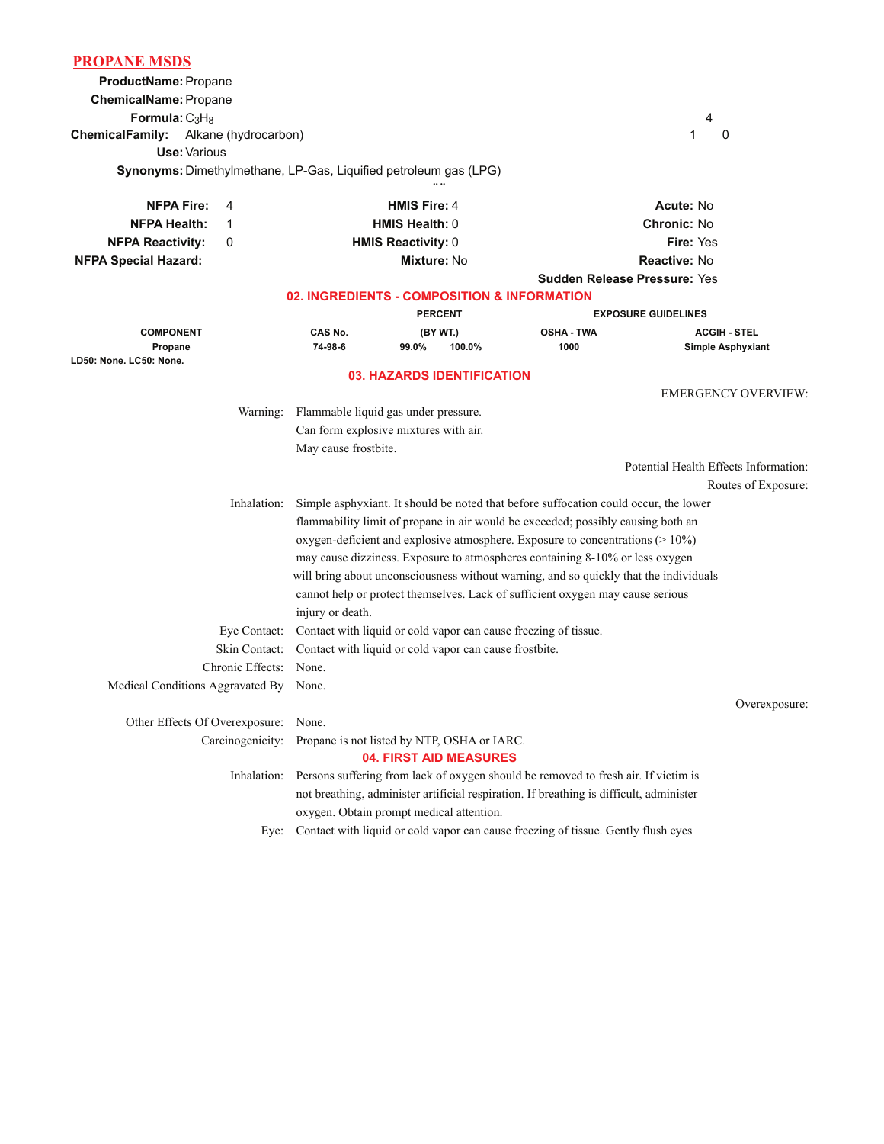| <b>PROPANE MSDS</b>                                  |                                                                                                                           |                                                                         |                     |                                   |                                                                                         |                                       |  |
|------------------------------------------------------|---------------------------------------------------------------------------------------------------------------------------|-------------------------------------------------------------------------|---------------------|-----------------------------------|-----------------------------------------------------------------------------------------|---------------------------------------|--|
| ProductName: Propane                                 |                                                                                                                           |                                                                         |                     |                                   |                                                                                         |                                       |  |
| ChemicalName: Propane                                |                                                                                                                           |                                                                         |                     |                                   |                                                                                         |                                       |  |
| Formula: $C_3H_8$                                    |                                                                                                                           |                                                                         |                     |                                   |                                                                                         | 4                                     |  |
| <b>ChemicalFamily:</b><br>Alkane (hydrocarbon)       |                                                                                                                           |                                                                         |                     |                                   | 1<br>0                                                                                  |                                       |  |
|                                                      | Use: Various                                                                                                              |                                                                         |                     |                                   |                                                                                         |                                       |  |
|                                                      |                                                                                                                           | <b>Synonyms:</b> Dimethylmethane, LP-Gas, Liquified petroleum gas (LPG) |                     |                                   |                                                                                         |                                       |  |
| <b>NFPA Fire:</b>                                    | 4                                                                                                                         |                                                                         | <b>HMIS Fire: 4</b> |                                   |                                                                                         | Acute: No                             |  |
| <b>NFPA Health:</b>                                  | 1                                                                                                                         | <b>HMIS Health: 0</b>                                                   |                     |                                   | <b>Chronic: No</b>                                                                      |                                       |  |
| <b>NFPA Reactivity:</b>                              | 0                                                                                                                         | <b>HMIS Reactivity: 0</b>                                               |                     |                                   | Fire: Yes                                                                               |                                       |  |
| <b>NFPA Special Hazard:</b>                          |                                                                                                                           |                                                                         |                     | Mixture: No                       |                                                                                         | <b>Reactive: No</b>                   |  |
|                                                      |                                                                                                                           |                                                                         |                     |                                   | <b>Sudden Release Pressure: Yes</b>                                                     |                                       |  |
|                                                      |                                                                                                                           |                                                                         |                     |                                   | 02. INGREDIENTS - COMPOSITION & INFORMATION                                             |                                       |  |
|                                                      |                                                                                                                           |                                                                         | <b>PERCENT</b>      |                                   |                                                                                         | <b>EXPOSURE GUIDELINES</b>            |  |
| <b>COMPONENT</b>                                     |                                                                                                                           | CAS No.                                                                 |                     | (BY WT.)                          | <b>OSHA - TWA</b>                                                                       | <b>ACGIH - STEL</b>                   |  |
| Propane<br>LD50: None. LC50: None.                   |                                                                                                                           | 74-98-6                                                                 | 99.0%               | 100.0%                            | 1000                                                                                    | <b>Simple Asphyxiant</b>              |  |
|                                                      |                                                                                                                           |                                                                         |                     | <b>03. HAZARDS IDENTIFICATION</b> |                                                                                         |                                       |  |
|                                                      |                                                                                                                           |                                                                         |                     |                                   |                                                                                         | <b>EMERGENCY OVERVIEW:</b>            |  |
|                                                      | Warning:                                                                                                                  | Flammable liquid gas under pressure.                                    |                     |                                   |                                                                                         |                                       |  |
|                                                      |                                                                                                                           | Can form explosive mixtures with air.                                   |                     |                                   |                                                                                         |                                       |  |
|                                                      |                                                                                                                           | May cause frostbite.                                                    |                     |                                   |                                                                                         |                                       |  |
|                                                      |                                                                                                                           |                                                                         |                     |                                   |                                                                                         | Potential Health Effects Information: |  |
|                                                      |                                                                                                                           |                                                                         |                     |                                   |                                                                                         | Routes of Exposure:                   |  |
|                                                      | Inhalation:                                                                                                               |                                                                         |                     |                                   | Simple asphyxiant. It should be noted that before suffocation could occur, the lower    |                                       |  |
|                                                      |                                                                                                                           |                                                                         |                     |                                   | flammability limit of propane in air would be exceeded; possibly causing both an        |                                       |  |
|                                                      |                                                                                                                           |                                                                         |                     |                                   | oxygen-deficient and explosive atmosphere. Exposure to concentrations $(>10\%)$         |                                       |  |
|                                                      |                                                                                                                           |                                                                         |                     |                                   | may cause dizziness. Exposure to atmospheres containing 8-10% or less oxygen            |                                       |  |
|                                                      |                                                                                                                           |                                                                         |                     |                                   | will bring about unconsciousness without warning, and so quickly that the individuals   |                                       |  |
|                                                      |                                                                                                                           |                                                                         |                     |                                   | cannot help or protect themselves. Lack of sufficient oxygen may cause serious          |                                       |  |
|                                                      | Eye Contact:                                                                                                              | injury or death.                                                        |                     |                                   |                                                                                         |                                       |  |
|                                                      | Contact with liquid or cold vapor can cause freezing of tissue.<br>Contact with liquid or cold vapor can cause frostbite. |                                                                         |                     |                                   |                                                                                         |                                       |  |
|                                                      | Skin Contact:<br>None.                                                                                                    |                                                                         |                     |                                   |                                                                                         |                                       |  |
| Chronic Effects:<br>Medical Conditions Aggravated By |                                                                                                                           | None.                                                                   |                     |                                   |                                                                                         |                                       |  |
|                                                      |                                                                                                                           |                                                                         |                     |                                   |                                                                                         | Overexposure:                         |  |
| Other Effects Of Overexposure:                       | None.                                                                                                                     |                                                                         |                     |                                   |                                                                                         |                                       |  |
| Carcinogenicity:                                     |                                                                                                                           | Propane is not listed by NTP, OSHA or IARC.                             |                     |                                   |                                                                                         |                                       |  |
|                                                      |                                                                                                                           |                                                                         |                     | 04. FIRST AID MEASURES            |                                                                                         |                                       |  |
|                                                      | Inhalation:                                                                                                               |                                                                         |                     |                                   | Persons suffering from lack of oxygen should be removed to fresh air. If victim is      |                                       |  |
|                                                      |                                                                                                                           |                                                                         |                     |                                   | not breathing, administer artificial respiration. If breathing is difficult, administer |                                       |  |
|                                                      |                                                                                                                           | oxygen. Obtain prompt medical attention.                                |                     |                                   |                                                                                         |                                       |  |
|                                                      | Eye:                                                                                                                      |                                                                         |                     |                                   | Contact with liquid or cold vapor can cause freezing of tissue. Gently flush eyes       |                                       |  |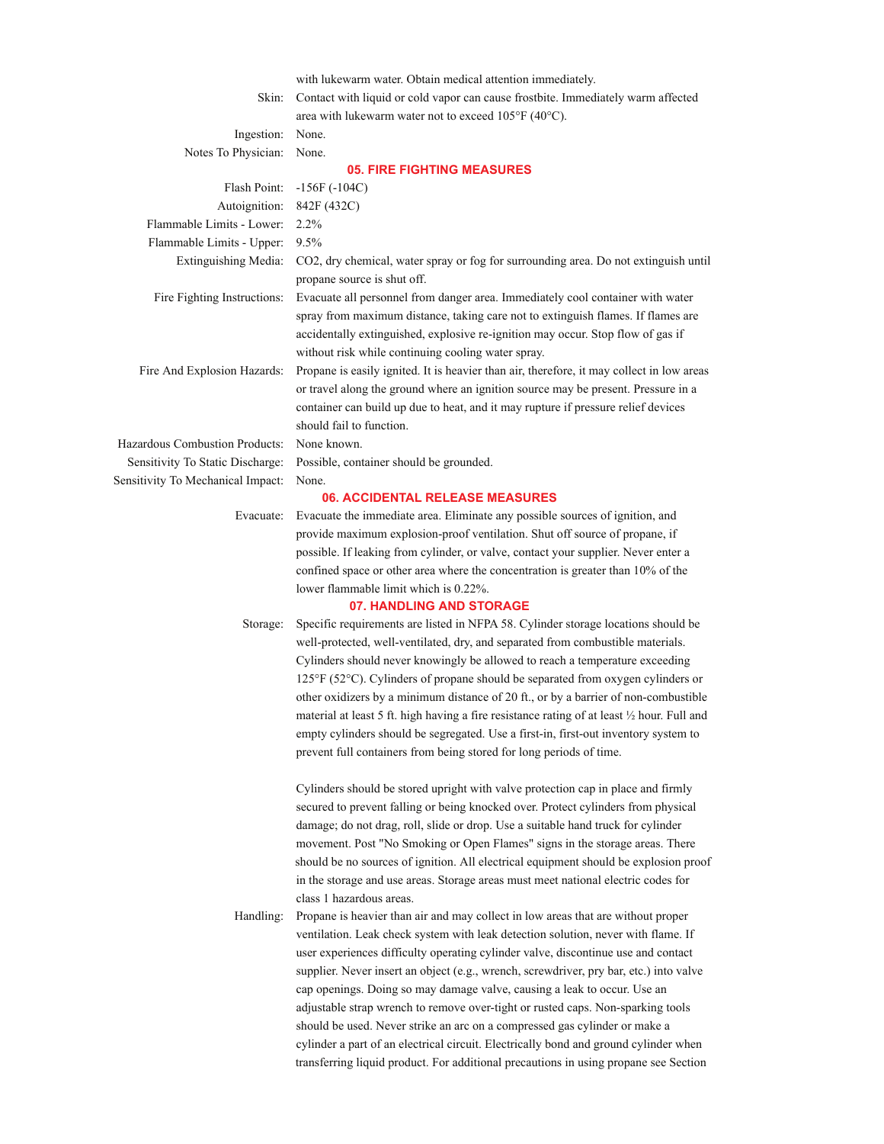|                                                   | with lukewarm water. Obtain medical attention immediately.                                                                                                      |  |  |  |
|---------------------------------------------------|-----------------------------------------------------------------------------------------------------------------------------------------------------------------|--|--|--|
| Skin:                                             | Contact with liquid or cold vapor can cause frostbite. Immediately warm affected                                                                                |  |  |  |
|                                                   | area with lukewarm water not to exceed $105^{\circ}F(40^{\circ}C)$ .                                                                                            |  |  |  |
| Ingestion:                                        | None.                                                                                                                                                           |  |  |  |
| Notes To Physician:                               | None.                                                                                                                                                           |  |  |  |
|                                                   | <b>05. FIRE FIGHTING MEASURES</b>                                                                                                                               |  |  |  |
| Flash Point:                                      | $-156F(-104C)$                                                                                                                                                  |  |  |  |
| Autoignition:<br>Flammable Limits - Lower:        | 842F (432C)<br>$2.2\%$                                                                                                                                          |  |  |  |
|                                                   | 9.5%                                                                                                                                                            |  |  |  |
| Flammable Limits - Upper:<br>Extinguishing Media: | CO2, dry chemical, water spray or fog for surrounding area. Do not extinguish until                                                                             |  |  |  |
|                                                   | propane source is shut off.                                                                                                                                     |  |  |  |
| Fire Fighting Instructions:                       | Evacuate all personnel from danger area. Immediately cool container with water                                                                                  |  |  |  |
|                                                   | spray from maximum distance, taking care not to extinguish flames. If flames are                                                                                |  |  |  |
|                                                   | accidentally extinguished, explosive re-ignition may occur. Stop flow of gas if                                                                                 |  |  |  |
|                                                   | without risk while continuing cooling water spray.                                                                                                              |  |  |  |
| Fire And Explosion Hazards:                       | Propane is easily ignited. It is heavier than air, therefore, it may collect in low areas                                                                       |  |  |  |
|                                                   | or travel along the ground where an ignition source may be present. Pressure in a                                                                               |  |  |  |
|                                                   | container can build up due to heat, and it may rupture if pressure relief devices                                                                               |  |  |  |
|                                                   | should fail to function.                                                                                                                                        |  |  |  |
| Hazardous Combustion Products:                    | None known.                                                                                                                                                     |  |  |  |
| Sensitivity To Static Discharge:                  | Possible, container should be grounded.                                                                                                                         |  |  |  |
| Sensitivity To Mechanical Impact:                 | None.                                                                                                                                                           |  |  |  |
|                                                   | <b>06. ACCIDENTAL RELEASE MEASURES</b>                                                                                                                          |  |  |  |
| Evacuate:                                         | Evacuate the immediate area. Eliminate any possible sources of ignition, and                                                                                    |  |  |  |
|                                                   | provide maximum explosion-proof ventilation. Shut off source of propane, if                                                                                     |  |  |  |
|                                                   | possible. If leaking from cylinder, or valve, contact your supplier. Never enter a                                                                              |  |  |  |
|                                                   | confined space or other area where the concentration is greater than 10% of the                                                                                 |  |  |  |
|                                                   | lower flammable limit which is 0.22%.                                                                                                                           |  |  |  |
|                                                   | 07. HANDLING AND STORAGE                                                                                                                                        |  |  |  |
| Storage:                                          | Specific requirements are listed in NFPA 58. Cylinder storage locations should be                                                                               |  |  |  |
|                                                   | well-protected, well-ventilated, dry, and separated from combustible materials.                                                                                 |  |  |  |
|                                                   | Cylinders should never knowingly be allowed to reach a temperature exceeding<br>125°F (52°C). Cylinders of propane should be separated from oxygen cylinders or |  |  |  |
|                                                   | other oxidizers by a minimum distance of 20 ft., or by a barrier of non-combustible                                                                             |  |  |  |
|                                                   | material at least 5 ft. high having a fire resistance rating of at least 1/2 hour. Full and                                                                     |  |  |  |
|                                                   | empty cylinders should be segregated. Use a first-in, first-out inventory system to                                                                             |  |  |  |
|                                                   | prevent full containers from being stored for long periods of time.                                                                                             |  |  |  |
|                                                   |                                                                                                                                                                 |  |  |  |
|                                                   | Cylinders should be stored upright with valve protection cap in place and firmly                                                                                |  |  |  |
|                                                   | secured to prevent falling or being knocked over. Protect cylinders from physical                                                                               |  |  |  |
|                                                   | damage; do not drag, roll, slide or drop. Use a suitable hand truck for cylinder                                                                                |  |  |  |
|                                                   | movement. Post "No Smoking or Open Flames" signs in the storage areas. There                                                                                    |  |  |  |
|                                                   | should be no sources of ignition. All electrical equipment should be explosion proof                                                                            |  |  |  |
|                                                   | in the storage and use areas. Storage areas must meet national electric codes for                                                                               |  |  |  |
|                                                   | class 1 hazardous areas.                                                                                                                                        |  |  |  |
| Handling:                                         | Propane is heavier than air and may collect in low areas that are without proper                                                                                |  |  |  |
|                                                   | ventilation. Leak check system with leak detection solution, never with flame. If                                                                               |  |  |  |
|                                                   | user experiences difficulty operating cylinder valve, discontinue use and contact                                                                               |  |  |  |
|                                                   | supplier. Never insert an object (e.g., wrench, screwdriver, pry bar, etc.) into valve                                                                          |  |  |  |
|                                                   | cap openings. Doing so may damage valve, causing a leak to occur. Use an                                                                                        |  |  |  |
|                                                   | adjustable strap wrench to remove over-tight or rusted caps. Non-sparking tools                                                                                 |  |  |  |
|                                                   | should be used. Never strike an arc on a compressed gas cylinder or make a                                                                                      |  |  |  |
|                                                   | cylinder a part of an electrical circuit. Electrically bond and ground cylinder when                                                                            |  |  |  |
|                                                   | transferring liquid product. For additional precautions in using propane see Section                                                                            |  |  |  |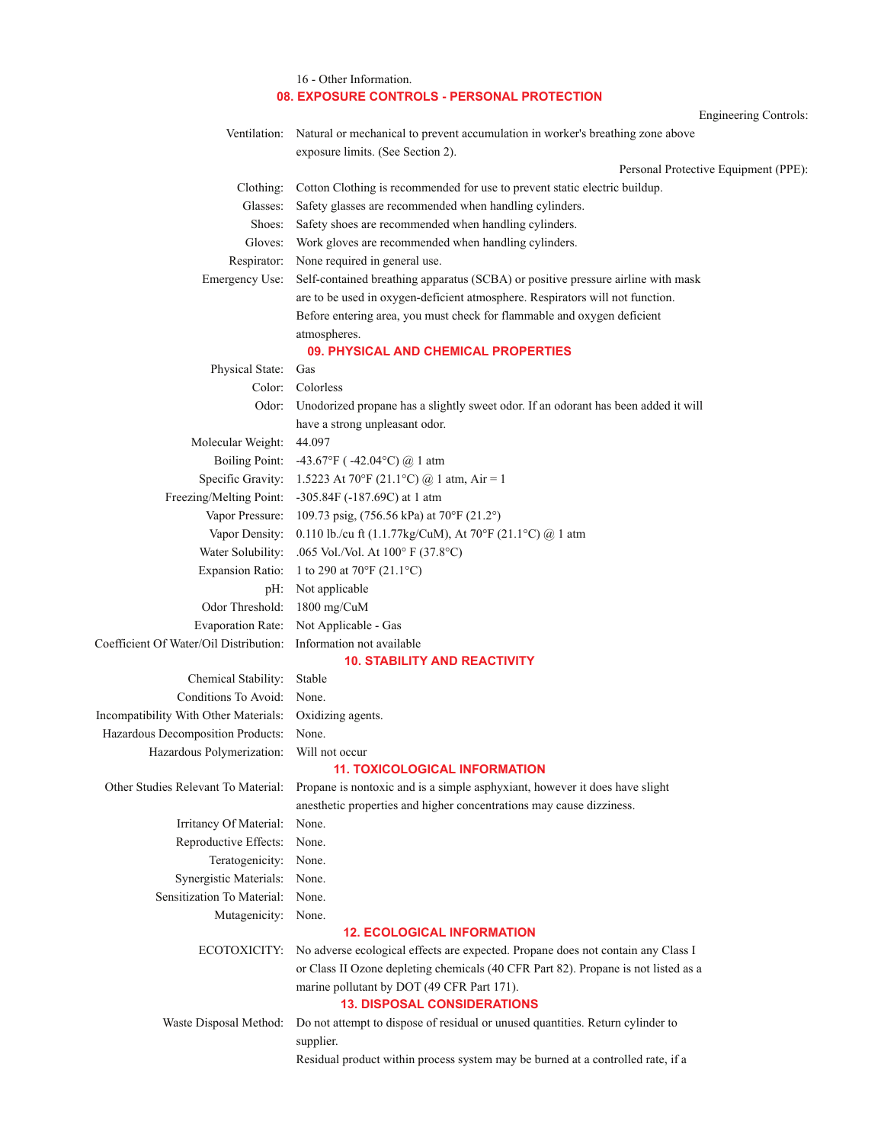|                                                                  | 16 - Other Information.                                                                                        |
|------------------------------------------------------------------|----------------------------------------------------------------------------------------------------------------|
|                                                                  | 08. EXPOSURE CONTROLS - PERSONAL PROTECTION                                                                    |
| Ventilation:                                                     | <b>Engineering Controls:</b><br>Natural or mechanical to prevent accumulation in worker's breathing zone above |
|                                                                  | exposure limits. (See Section 2).                                                                              |
|                                                                  | Personal Protective Equipment (PPE):                                                                           |
| Clothing:                                                        | Cotton Clothing is recommended for use to prevent static electric buildup.                                     |
| Glasses:                                                         | Safety glasses are recommended when handling cylinders.                                                        |
| Shoes:                                                           | Safety shoes are recommended when handling cylinders.                                                          |
| Gloves:                                                          | Work gloves are recommended when handling cylinders.                                                           |
| Respirator:                                                      | None required in general use.                                                                                  |
| Emergency Use:                                                   | Self-contained breathing apparatus (SCBA) or positive pressure airline with mask                               |
|                                                                  | are to be used in oxygen-deficient atmosphere. Respirators will not function.                                  |
|                                                                  | Before entering area, you must check for flammable and oxygen deficient                                        |
|                                                                  | atmospheres.                                                                                                   |
|                                                                  | 09. PHYSICAL AND CHEMICAL PROPERTIES                                                                           |
| Physical State:                                                  | Gas                                                                                                            |
| Color:                                                           | Colorless                                                                                                      |
|                                                                  | Odor: Unodorized propane has a slightly sweet odor. If an odorant has been added it will                       |
|                                                                  | have a strong unpleasant odor.                                                                                 |
| Molecular Weight:                                                | 44.097                                                                                                         |
| <b>Boiling Point:</b>                                            | -43.67°F ( $-42.04$ °C) $\omega$ 1 atm                                                                         |
|                                                                  | Specific Gravity: 1.5223 At 70°F (21.1°C) @ 1 atm, Air = 1                                                     |
|                                                                  | Freezing/Melting Point: -305.84F (-187.69C) at 1 atm                                                           |
|                                                                  | Vapor Pressure: 109.73 psig, (756.56 kPa) at 70°F (21.2°)                                                      |
|                                                                  | Vapor Density: 0.110 lb./cu ft (1.1.77kg/CuM), At 70°F (21.1°C) @ 1 atm                                        |
|                                                                  | Water Solubility: .065 Vol./Vol. At $100^{\circ}$ F (37.8°C)                                                   |
|                                                                  | Expansion Ratio: 1 to 290 at 70 $\mathrm{^{\circ}F}$ (21.1 $\mathrm{^{\circ}C}$ )                              |
|                                                                  | pH: Not applicable                                                                                             |
| Odor Threshold: 1800 mg/CuM                                      |                                                                                                                |
|                                                                  | Evaporation Rate: Not Applicable - Gas                                                                         |
| Coefficient Of Water/Oil Distribution: Information not available |                                                                                                                |
|                                                                  | <b>10. STABILITY AND REACTIVITY</b>                                                                            |
| Chemical Stability: Stable                                       |                                                                                                                |
| Conditions To Avoid: None.                                       |                                                                                                                |
| Incompatibility With Other Materials: Oxidizing agents.          |                                                                                                                |
| Hazardous Decomposition Products: None.                          |                                                                                                                |
| Hazardous Polymerization:                                        | Will not occur                                                                                                 |
|                                                                  | <b>11. TOXICOLOGICAL INFORMATION</b>                                                                           |
| Other Studies Relevant To Material:                              | Propane is nontoxic and is a simple asphyxiant, however it does have slight                                    |
|                                                                  | anesthetic properties and higher concentrations may cause dizziness.                                           |
| Irritancy Of Material:                                           | None.                                                                                                          |
| Reproductive Effects:                                            | None.                                                                                                          |
| Teratogenicity:                                                  | None.                                                                                                          |
| Synergistic Materials:                                           | None.                                                                                                          |
| Sensitization To Material:                                       | None.                                                                                                          |
| Mutagenicity: None.                                              |                                                                                                                |
|                                                                  | <b>12. ECOLOGICAL INFORMATION</b>                                                                              |
|                                                                  | ECOTOXICITY: No adverse ecological effects are expected. Propane does not contain any Class I                  |
|                                                                  | or Class II Ozone depleting chemicals $(40 \text{ CFR Part } 82)$ . Propane is not listed as a                 |

or Class II Ozone depleting chemicals (40 CFR Part 82). Propane is not listed as a marine pollutant by DOT (49 CFR Part 171). **13. DISPOSAL CONSIDERATIONS**

Waste Disposal Method: Do not attempt to dispose of residual or unused quantities. Return cylinder to supplier. Residual product within process system may be burned at a controlled rate, if a